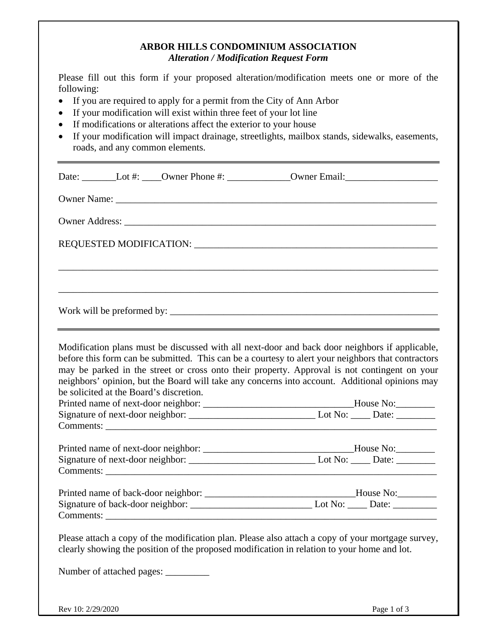#### **ARBOR HILLS CONDOMINIUM ASSOCIATION**  *Alteration / Modification Request Form*

Please fill out this form if your proposed alteration/modification meets one or more of the following:

- If you are required to apply for a permit from the City of Ann Arbor
- If your modification will exist within three feet of your lot line
- If modifications or alterations affect the exterior to your house
- If your modification will impact drainage, streetlights, mailbox stands, sidewalks, easements, roads, and any common elements.

|                                                                                                                                                                                                                                                                                                                                                                                                                                                                                                                                                            |  |                                      | Date: Lot #: ______Owner Phone #: ______________Owner Email: ____________________                                                                                                                |  |  |  |  |
|------------------------------------------------------------------------------------------------------------------------------------------------------------------------------------------------------------------------------------------------------------------------------------------------------------------------------------------------------------------------------------------------------------------------------------------------------------------------------------------------------------------------------------------------------------|--|--------------------------------------|--------------------------------------------------------------------------------------------------------------------------------------------------------------------------------------------------|--|--|--|--|
|                                                                                                                                                                                                                                                                                                                                                                                                                                                                                                                                                            |  |                                      |                                                                                                                                                                                                  |  |  |  |  |
|                                                                                                                                                                                                                                                                                                                                                                                                                                                                                                                                                            |  |                                      |                                                                                                                                                                                                  |  |  |  |  |
|                                                                                                                                                                                                                                                                                                                                                                                                                                                                                                                                                            |  |                                      |                                                                                                                                                                                                  |  |  |  |  |
|                                                                                                                                                                                                                                                                                                                                                                                                                                                                                                                                                            |  |                                      |                                                                                                                                                                                                  |  |  |  |  |
|                                                                                                                                                                                                                                                                                                                                                                                                                                                                                                                                                            |  |                                      |                                                                                                                                                                                                  |  |  |  |  |
|                                                                                                                                                                                                                                                                                                                                                                                                                                                                                                                                                            |  |                                      |                                                                                                                                                                                                  |  |  |  |  |
| Modification plans must be discussed with all next-door and back door neighbors if applicable,<br>before this form can be submitted. This can be a courtesy to alert your neighbors that contractors<br>may be parked in the street or cross onto their property. Approval is not contingent on your<br>neighbors' opinion, but the Board will take any concerns into account. Additional opinions may<br>be solicited at the Board's discretion.<br>Printed name of next-door neighbor: __________________________________House No:_________<br>Comments: |  |                                      |                                                                                                                                                                                                  |  |  |  |  |
|                                                                                                                                                                                                                                                                                                                                                                                                                                                                                                                                                            |  |                                      | Printed name of next-door neighbor: __________________________________House No:_________                                                                                                         |  |  |  |  |
|                                                                                                                                                                                                                                                                                                                                                                                                                                                                                                                                                            |  | Comments:                            |                                                                                                                                                                                                  |  |  |  |  |
|                                                                                                                                                                                                                                                                                                                                                                                                                                                                                                                                                            |  |                                      | Printed name of back-door neighbor: ___________________________________House No: ___________________                                                                                             |  |  |  |  |
|                                                                                                                                                                                                                                                                                                                                                                                                                                                                                                                                                            |  |                                      | Comments:                                                                                                                                                                                        |  |  |  |  |
|                                                                                                                                                                                                                                                                                                                                                                                                                                                                                                                                                            |  | Number of attached pages: __________ | Please attach a copy of the modification plan. Please also attach a copy of your mortgage survey,<br>clearly showing the position of the proposed modification in relation to your home and lot. |  |  |  |  |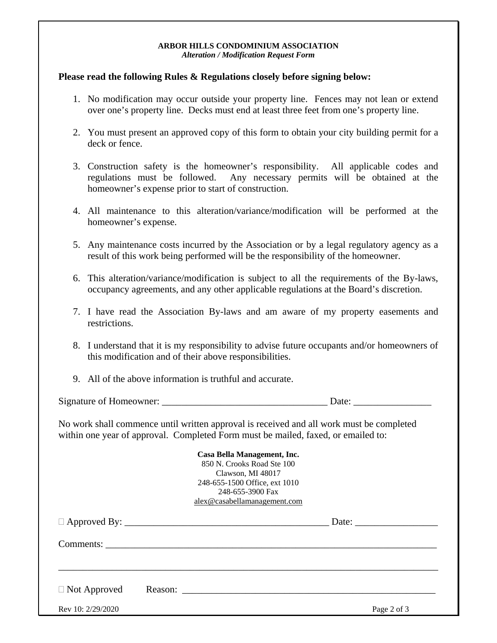#### **ARBOR HILLS CONDOMINIUM ASSOCIATION**  *Alteration / Modification Request Form*

#### **Please read the following Rules & Regulations closely before signing below:**

- 1. No modification may occur outside your property line. Fences may not lean or extend over one's property line. Decks must end at least three feet from one's property line.
- 2. You must present an approved copy of this form to obtain your city building permit for a deck or fence.
- 3. Construction safety is the homeowner's responsibility. All applicable codes and regulations must be followed. Any necessary permits will be obtained at the homeowner's expense prior to start of construction.
- 4. All maintenance to this alteration/variance/modification will be performed at the homeowner's expense.
- 5. Any maintenance costs incurred by the Association or by a legal regulatory agency as a result of this work being performed will be the responsibility of the homeowner.
- 6. This alteration/variance/modification is subject to all the requirements of the By-laws, occupancy agreements, and any other applicable regulations at the Board's discretion.
- 7. I have read the Association By-laws and am aware of my property easements and restrictions.
- 8. I understand that it is my responsibility to advise future occupants and/or homeowners of this modification and of their above responsibilities.
- 9. All of the above information is truthful and accurate.

Signature of Homeowner: \_\_\_\_\_\_\_\_\_\_\_\_\_\_\_\_\_\_\_\_\_\_\_\_\_\_\_\_\_\_\_\_\_\_ Date: \_\_\_\_\_\_\_\_\_\_\_\_\_\_\_\_

No work shall commence until written approval is received and all work must be completed within one year of approval. Completed Form must be mailed, faxed, or emailed to:

#### **Casa Bella Management, Inc.**  850 N. Crooks Road Ste 100 Clawson, MI 48017 248-655-1500 Office, ext 1010 248-655-3900 Fax alex@casabellamanagement.com

| $\Box$ Not Approved |  |  | Reason: |             |
|---------------------|--|--|---------|-------------|
| Rev 10: 2/29/2020   |  |  |         | Page 2 of 3 |